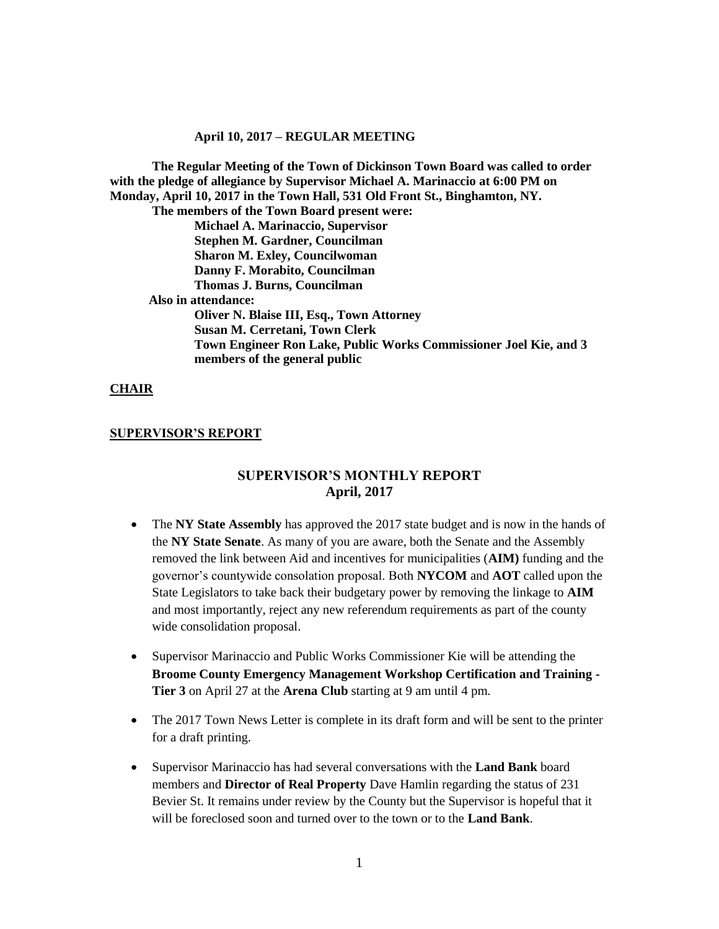**The Regular Meeting of the Town of Dickinson Town Board was called to order with the pledge of allegiance by Supervisor Michael A. Marinaccio at 6:00 PM on Monday, April 10, 2017 in the Town Hall, 531 Old Front St., Binghamton, NY. The members of the Town Board present were: Michael A. Marinaccio, Supervisor**

**Stephen M. Gardner, Councilman Sharon M. Exley, Councilwoman Danny F. Morabito, Councilman Thomas J. Burns, Councilman**

 **Also in attendance:**

**Oliver N. Blaise III, Esq., Town Attorney Susan M. Cerretani, Town Clerk Town Engineer Ron Lake, Public Works Commissioner Joel Kie, and 3 members of the general public**

#### **CHAIR**

#### **SUPERVISOR'S REPORT**

# **SUPERVISOR'S MONTHLY REPORT April, 2017**

- The **NY State Assembly** has approved the 2017 state budget and is now in the hands of the **NY State Senate**. As many of you are aware, both the Senate and the Assembly removed the link between Aid and incentives for municipalities (**AIM)** funding and the governor's countywide consolation proposal. Both **NYCOM** and **AOT** called upon the State Legislators to take back their budgetary power by removing the linkage to **AIM** and most importantly, reject any new referendum requirements as part of the county wide consolidation proposal.
- Supervisor Marinaccio and Public Works Commissioner Kie will be attending the **Broome County Emergency Management Workshop Certification and Training - Tier 3** on April 27 at the **Arena Club** starting at 9 am until 4 pm.
- The 2017 Town News Letter is complete in its draft form and will be sent to the printer for a draft printing.
- Supervisor Marinaccio has had several conversations with the **Land Bank** board members and **Director of Real Property** Dave Hamlin regarding the status of 231 Bevier St. It remains under review by the County but the Supervisor is hopeful that it will be foreclosed soon and turned over to the town or to the **Land Bank**.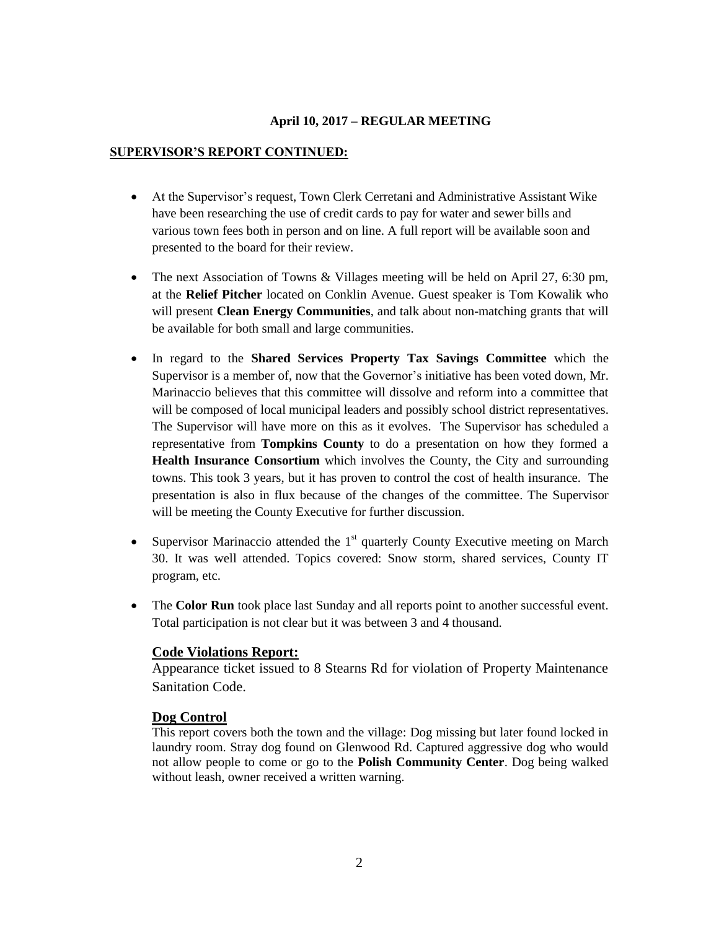#### **SUPERVISOR'S REPORT CONTINUED:**

- At the Supervisor's request, Town Clerk Cerretani and Administrative Assistant Wike have been researching the use of credit cards to pay for water and sewer bills and various town fees both in person and on line. A full report will be available soon and presented to the board for their review.
- The next Association of Towns & Villages meeting will be held on April 27, 6:30 pm, at the **Relief Pitcher** located on Conklin Avenue. Guest speaker is Tom Kowalik who will present **Clean Energy Communities**, and talk about non-matching grants that will be available for both small and large communities.
- In regard to the **Shared Services Property Tax Savings Committee** which the Supervisor is a member of, now that the Governor's initiative has been voted down, Mr. Marinaccio believes that this committee will dissolve and reform into a committee that will be composed of local municipal leaders and possibly school district representatives. The Supervisor will have more on this as it evolves. The Supervisor has scheduled a representative from **Tompkins County** to do a presentation on how they formed a **Health Insurance Consortium** which involves the County, the City and surrounding towns. This took 3 years, but it has proven to control the cost of health insurance. The presentation is also in flux because of the changes of the committee. The Supervisor will be meeting the County Executive for further discussion.
- Supervisor Marinaccio attended the  $1<sup>st</sup>$  quarterly County Executive meeting on March 30. It was well attended. Topics covered: Snow storm, shared services, County IT program, etc.
- The **Color Run** took place last Sunday and all reports point to another successful event. Total participation is not clear but it was between 3 and 4 thousand.

### **Code Violations Report:**

Appearance ticket issued to 8 Stearns Rd for violation of Property Maintenance Sanitation Code.

### **Dog Control**

This report covers both the town and the village: Dog missing but later found locked in laundry room. Stray dog found on Glenwood Rd. Captured aggressive dog who would not allow people to come or go to the **Polish Community Center**. Dog being walked without leash, owner received a written warning.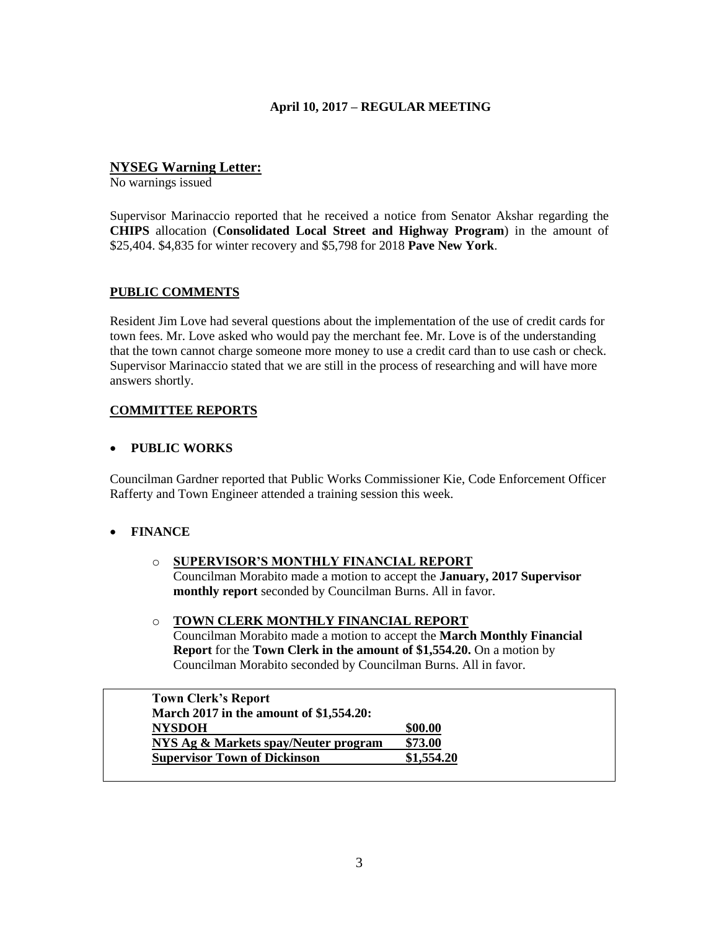# **NYSEG Warning Letter:**

No warnings issued

Supervisor Marinaccio reported that he received a notice from Senator Akshar regarding the **CHIPS** allocation (**Consolidated Local Street and Highway Program**) in the amount of \$25,404. \$4,835 for winter recovery and \$5,798 for 2018 **Pave New York**.

### **PUBLIC COMMENTS**

Resident Jim Love had several questions about the implementation of the use of credit cards for town fees. Mr. Love asked who would pay the merchant fee. Mr. Love is of the understanding that the town cannot charge someone more money to use a credit card than to use cash or check. Supervisor Marinaccio stated that we are still in the process of researching and will have more answers shortly.

# **COMMITTEE REPORTS**

### **PUBLIC WORKS**

Councilman Gardner reported that Public Works Commissioner Kie, Code Enforcement Officer Rafferty and Town Engineer attended a training session this week.

# **FINANCE**

- o **SUPERVISOR'S MONTHLY FINANCIAL REPORT** Councilman Morabito made a motion to accept the **January, 2017 Supervisor monthly report** seconded by Councilman Burns. All in favor.
- o **TOWN CLERK MONTHLY FINANCIAL REPORT** Councilman Morabito made a motion to accept the **March Monthly Financial Report** for the **Town Clerk in the amount of \$1,554.20.** On a motion by Councilman Morabito seconded by Councilman Burns. All in favor.

| <b>Town Clerk's Report</b>              |            |
|-----------------------------------------|------------|
| March 2017 in the amount of \$1,554.20: |            |
| <b>NYSDOH</b>                           | \$00.00    |
| NYS Ag & Markets spay/Neuter program    | \$73.00    |
| <b>Supervisor Town of Dickinson</b>     | \$1,554.20 |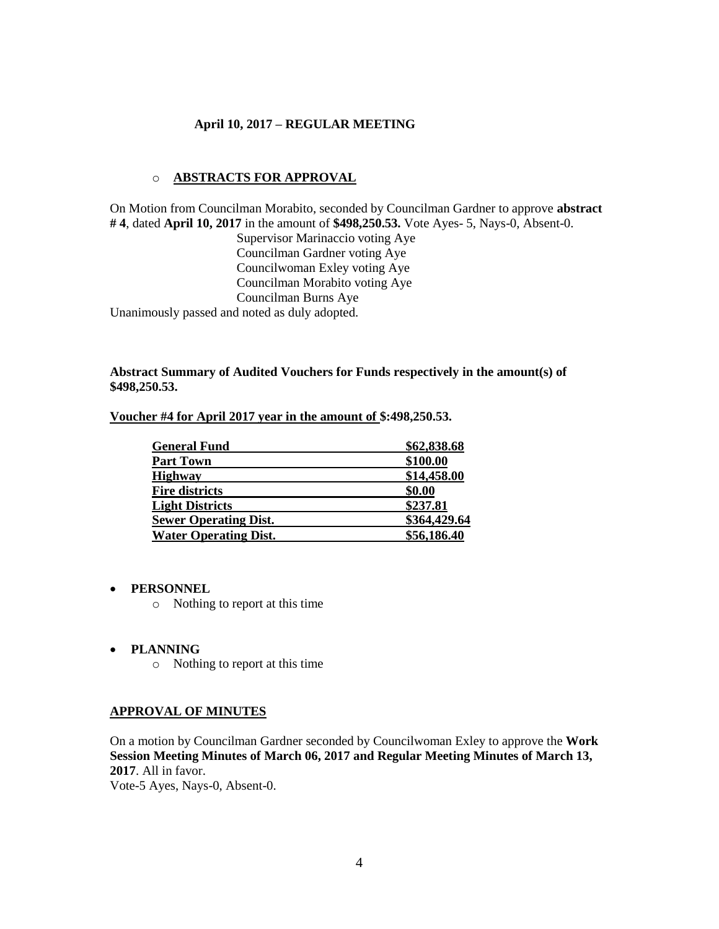### o **ABSTRACTS FOR APPROVAL**

On Motion from Councilman Morabito, seconded by Councilman Gardner to approve **abstract # 4**, dated **April 10, 2017** in the amount of **\$498,250.53.** Vote Ayes- 5, Nays-0, Absent-0.

Supervisor Marinaccio voting Aye Councilman Gardner voting Aye Councilwoman Exley voting Aye Councilman Morabito voting Aye Councilman Burns Aye Unanimously passed and noted as duly adopted.

### **Abstract Summary of Audited Vouchers for Funds respectively in the amount(s) of \$498,250.53.**

| <b>General Fund</b>          | \$62,838.68  |
|------------------------------|--------------|
| <b>Part Town</b>             | \$100.00     |
| <b>Highway</b>               | \$14,458.00  |
| <b>Fire districts</b>        | \$0.00       |
| <b>Light Districts</b>       | \$237.81     |
| <b>Sewer Operating Dist.</b> | \$364,429.64 |
| <b>Water Operating Dist.</b> | \$56,186.40  |

**Voucher #4 for April 2017 year in the amount of \$:498,250.53.** 

#### **PERSONNEL**

o Nothing to report at this time

#### **PLANNING**

o Nothing to report at this time

#### **APPROVAL OF MINUTES**

On a motion by Councilman Gardner seconded by Councilwoman Exley to approve the **Work Session Meeting Minutes of March 06, 2017 and Regular Meeting Minutes of March 13, 2017**. All in favor.

Vote-5 Ayes, Nays-0, Absent-0.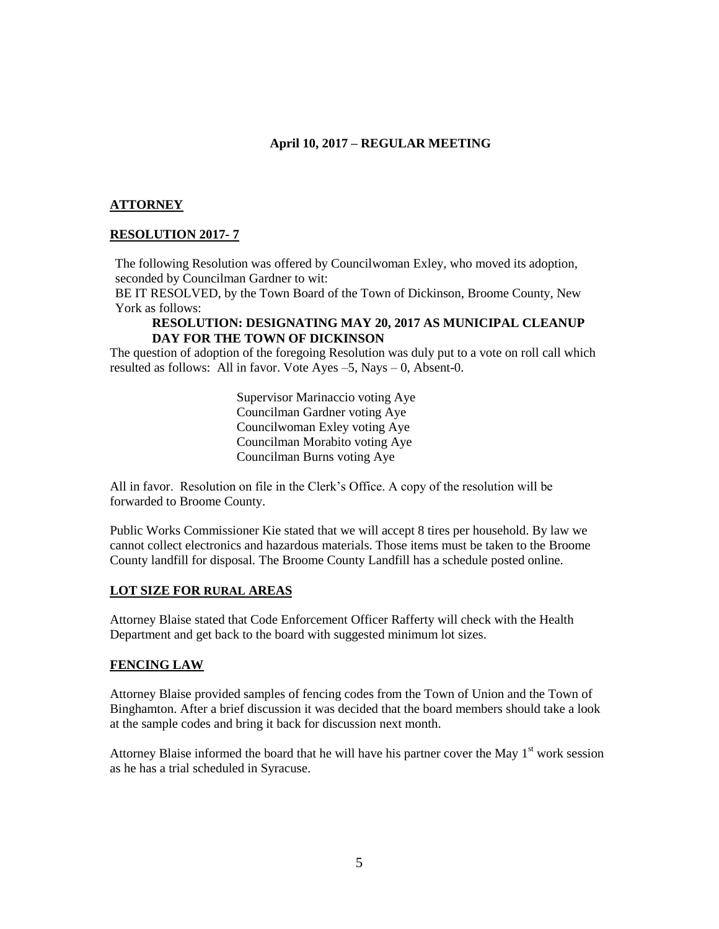### **ATTORNEY**

### **RESOLUTION 2017- 7**

The following Resolution was offered by Councilwoman Exley, who moved its adoption, seconded by Councilman Gardner to wit:

BE IT RESOLVED, by the Town Board of the Town of Dickinson, Broome County, New York as follows:

### **RESOLUTION: DESIGNATING MAY 20, 2017 AS MUNICIPAL CLEANUP DAY FOR THE TOWN OF DICKINSON**

The question of adoption of the foregoing Resolution was duly put to a vote on roll call which resulted as follows: All in favor. Vote Ayes –5, Nays – 0, Absent-0.

> Supervisor Marinaccio voting Aye Councilman Gardner voting Aye Councilwoman Exley voting Aye Councilman Morabito voting Aye Councilman Burns voting Aye

All in favor. Resolution on file in the Clerk's Office. A copy of the resolution will be forwarded to Broome County.

Public Works Commissioner Kie stated that we will accept 8 tires per household. By law we cannot collect electronics and hazardous materials. Those items must be taken to the Broome County landfill for disposal. The Broome County Landfill has a schedule posted online.

### **LOT SIZE FOR RURAL AREAS**

Attorney Blaise stated that Code Enforcement Officer Rafferty will check with the Health Department and get back to the board with suggested minimum lot sizes.

### **FENCING LAW**

Attorney Blaise provided samples of fencing codes from the Town of Union and the Town of Binghamton. After a brief discussion it was decided that the board members should take a look at the sample codes and bring it back for discussion next month.

Attorney Blaise informed the board that he will have his partner cover the May  $1<sup>st</sup>$  work session as he has a trial scheduled in Syracuse.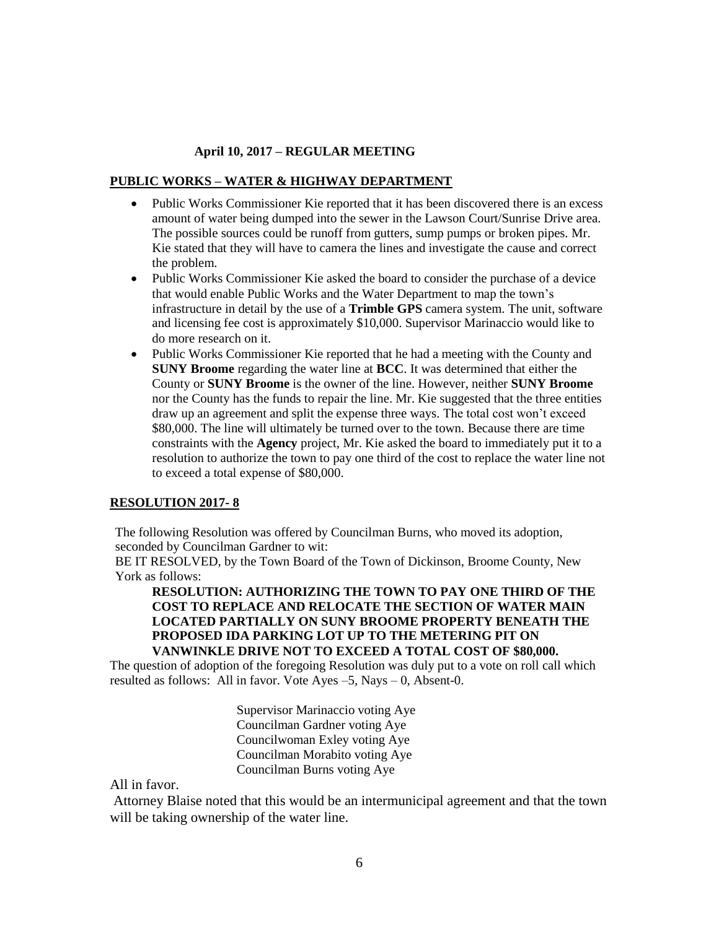### **PUBLIC WORKS – WATER & HIGHWAY DEPARTMENT**

- Public Works Commissioner Kie reported that it has been discovered there is an excess amount of water being dumped into the sewer in the Lawson Court/Sunrise Drive area. The possible sources could be runoff from gutters, sump pumps or broken pipes. Mr. Kie stated that they will have to camera the lines and investigate the cause and correct the problem.
- Public Works Commissioner Kie asked the board to consider the purchase of a device that would enable Public Works and the Water Department to map the town's infrastructure in detail by the use of a **Trimble GPS** camera system. The unit, software and licensing fee cost is approximately \$10,000. Supervisor Marinaccio would like to do more research on it.
- Public Works Commissioner Kie reported that he had a meeting with the County and **SUNY Broome** regarding the water line at **BCC**. It was determined that either the County or **SUNY Broome** is the owner of the line. However, neither **SUNY Broome** nor the County has the funds to repair the line. Mr. Kie suggested that the three entities draw up an agreement and split the expense three ways. The total cost won't exceed \$80,000. The line will ultimately be turned over to the town. Because there are time constraints with the **Agency** project, Mr. Kie asked the board to immediately put it to a resolution to authorize the town to pay one third of the cost to replace the water line not to exceed a total expense of \$80,000.

### **RESOLUTION 2017- 8**

The following Resolution was offered by Councilman Burns, who moved its adoption, seconded by Councilman Gardner to wit:

BE IT RESOLVED, by the Town Board of the Town of Dickinson, Broome County, New York as follows:

**RESOLUTION: AUTHORIZING THE TOWN TO PAY ONE THIRD OF THE COST TO REPLACE AND RELOCATE THE SECTION OF WATER MAIN LOCATED PARTIALLY ON SUNY BROOME PROPERTY BENEATH THE PROPOSED IDA PARKING LOT UP TO THE METERING PIT ON VANWINKLE DRIVE NOT TO EXCEED A TOTAL COST OF \$80,000.** 

The question of adoption of the foregoing Resolution was duly put to a vote on roll call which resulted as follows: All in favor. Vote Ayes –5, Nays – 0, Absent-0.

> Supervisor Marinaccio voting Aye Councilman Gardner voting Aye Councilwoman Exley voting Aye Councilman Morabito voting Aye Councilman Burns voting Aye

All in favor.

Attorney Blaise noted that this would be an intermunicipal agreement and that the town will be taking ownership of the water line.